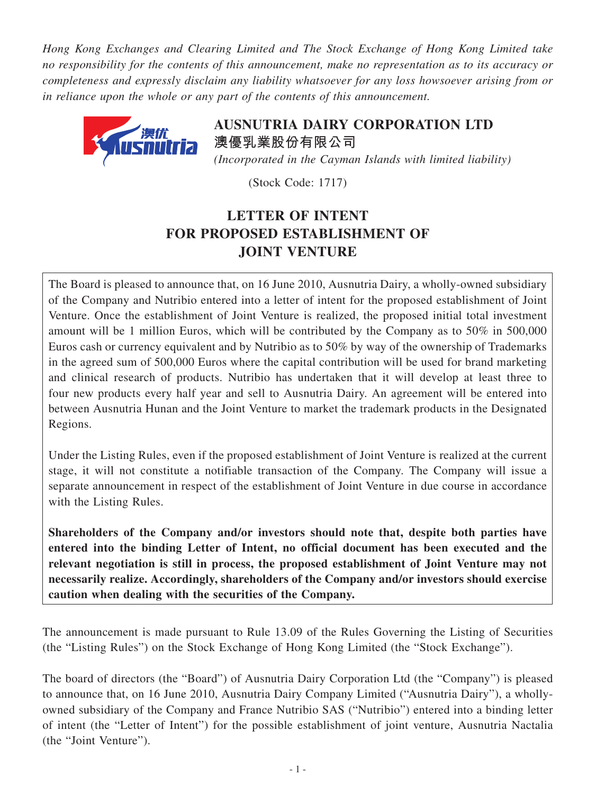*Hong Kong Exchanges and Clearing Limited and The Stock Exchange of Hong Kong Limited take no responsibility for the contents of this announcement, make no representation as to its accuracy or completeness and expressly disclaim any liability whatsoever for any loss howsoever arising from or in reliance upon the whole or any part of the contents of this announcement.*



**AUSNUTRIA DAIRY CORPORATION LTD 澳優乳業股份有限公司** *(Incorporated in the Cayman Islands with limited liability)*

(Stock Code: 1717)

## **LETTER OF INTENT FOR PROPOSED ESTABLISHMENT OF JOINT VENTURE**

The Board is pleased to announce that, on 16 June 2010, Ausnutria Dairy, a wholly-owned subsidiary of the Company and Nutribio entered into a letter of intent for the proposed establishment of Joint Venture. Once the establishment of Joint Venture is realized, the proposed initial total investment amount will be 1 million Euros, which will be contributed by the Company as to 50% in 500,000 Euros cash or currency equivalent and by Nutribio as to 50% by way of the ownership of Trademarks in the agreed sum of 500,000 Euros where the capital contribution will be used for brand marketing and clinical research of products. Nutribio has undertaken that it will develop at least three to four new products every half year and sell to Ausnutria Dairy. An agreement will be entered into between Ausnutria Hunan and the Joint Venture to market the trademark products in the Designated Regions.

Under the Listing Rules, even if the proposed establishment of Joint Venture is realized at the current stage, it will not constitute a notifiable transaction of the Company. The Company will issue a separate announcement in respect of the establishment of Joint Venture in due course in accordance with the Listing Rules.

**Shareholders of the Company and/or investors should note that, despite both parties have entered into the binding Letter of Intent, no official document has been executed and the relevant negotiation is still in process, the proposed establishment of Joint Venture may not necessarily realize. Accordingly, shareholders of the Company and/or investors should exercise caution when dealing with the securities of the Company.**

The announcement is made pursuant to Rule 13.09 of the Rules Governing the Listing of Securities (the "Listing Rules") on the Stock Exchange of Hong Kong Limited (the "Stock Exchange").

The board of directors (the "Board") of Ausnutria Dairy Corporation Ltd (the "Company") is pleased to announce that, on 16 June 2010, Ausnutria Dairy Company Limited ("Ausnutria Dairy"), a whollyowned subsidiary of the Company and France Nutribio SAS ("Nutribio") entered into a binding letter of intent (the "Letter of Intent") for the possible establishment of joint venture, Ausnutria Nactalia (the "Joint Venture").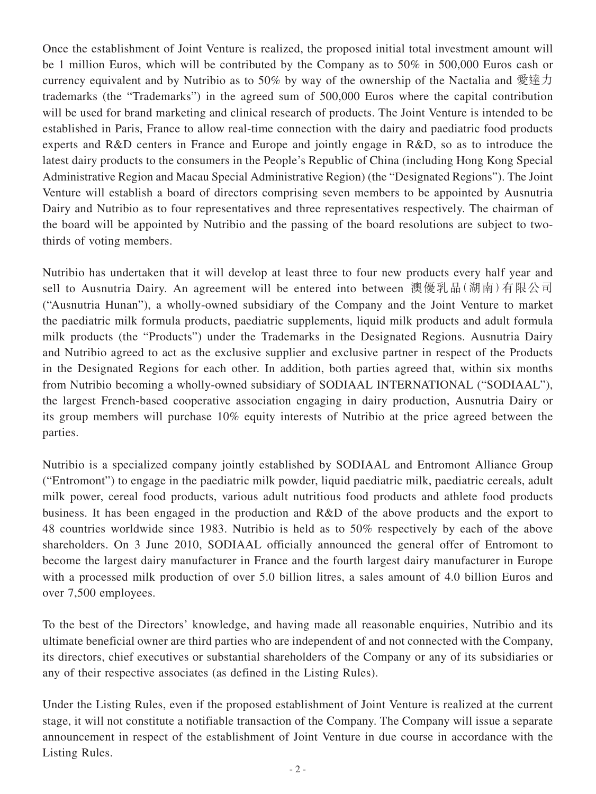Once the establishment of Joint Venture is realized, the proposed initial total investment amount will be 1 million Euros, which will be contributed by the Company as to 50% in 500,000 Euros cash or currency equivalent and by Nutribio as to 50% by way of the ownership of the Nactalia and 愛達力 trademarks (the "Trademarks") in the agreed sum of 500,000 Euros where the capital contribution will be used for brand marketing and clinical research of products. The Joint Venture is intended to be established in Paris, France to allow real-time connection with the dairy and paediatric food products experts and R&D centers in France and Europe and jointly engage in R&D, so as to introduce the latest dairy products to the consumers in the People's Republic of China (including Hong Kong Special Administrative Region and Macau Special Administrative Region) (the "Designated Regions"). The Joint Venture will establish a board of directors comprising seven members to be appointed by Ausnutria Dairy and Nutribio as to four representatives and three representatives respectively. The chairman of the board will be appointed by Nutribio and the passing of the board resolutions are subject to twothirds of voting members.

Nutribio has undertaken that it will develop at least three to four new products every half year and sell to Ausnutria Dairy. An agreement will be entered into between 澳優乳品(湖南)有限公司 ("Ausnutria Hunan"), a wholly-owned subsidiary of the Company and the Joint Venture to market the paediatric milk formula products, paediatric supplements, liquid milk products and adult formula milk products (the "Products") under the Trademarks in the Designated Regions. Ausnutria Dairy and Nutribio agreed to act as the exclusive supplier and exclusive partner in respect of the Products in the Designated Regions for each other. In addition, both parties agreed that, within six months from Nutribio becoming a wholly-owned subsidiary of SODIAAL INTERNATIONAL ("SODIAAL"), the largest French-based cooperative association engaging in dairy production, Ausnutria Dairy or its group members will purchase 10% equity interests of Nutribio at the price agreed between the parties.

Nutribio is a specialized company jointly established by SODIAAL and Entromont Alliance Group ("Entromont") to engage in the paediatric milk powder, liquid paediatric milk, paediatric cereals, adult milk power, cereal food products, various adult nutritious food products and athlete food products business. It has been engaged in the production and R&D of the above products and the export to 48 countries worldwide since 1983. Nutribio is held as to 50% respectively by each of the above shareholders. On 3 June 2010, SODIAAL officially announced the general offer of Entromont to become the largest dairy manufacturer in France and the fourth largest dairy manufacturer in Europe with a processed milk production of over 5.0 billion litres, a sales amount of 4.0 billion Euros and over 7,500 employees.

To the best of the Directors' knowledge, and having made all reasonable enquiries, Nutribio and its ultimate beneficial owner are third parties who are independent of and not connected with the Company, its directors, chief executives or substantial shareholders of the Company or any of its subsidiaries or any of their respective associates (as defined in the Listing Rules).

Under the Listing Rules, even if the proposed establishment of Joint Venture is realized at the current stage, it will not constitute a notifiable transaction of the Company. The Company will issue a separate announcement in respect of the establishment of Joint Venture in due course in accordance with the Listing Rules.